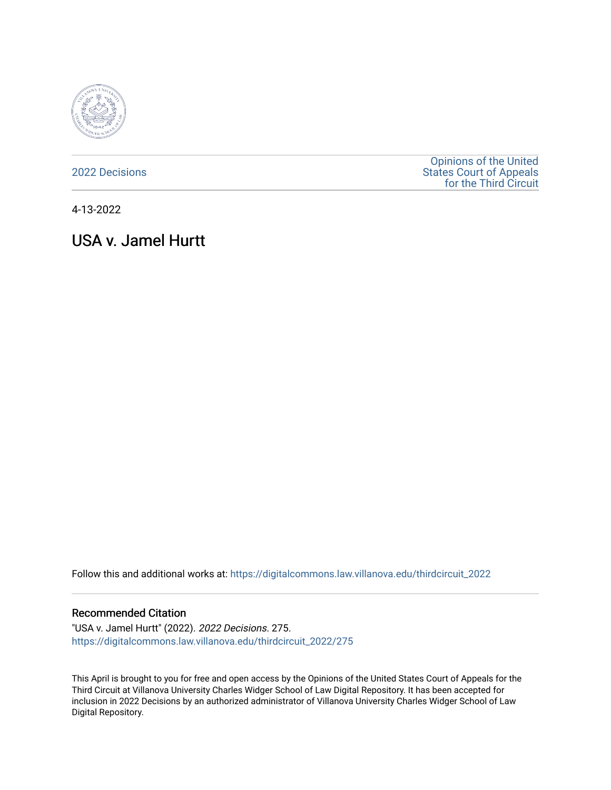

[2022 Decisions](https://digitalcommons.law.villanova.edu/thirdcircuit_2022)

[Opinions of the United](https://digitalcommons.law.villanova.edu/thirdcircuit)  [States Court of Appeals](https://digitalcommons.law.villanova.edu/thirdcircuit)  [for the Third Circuit](https://digitalcommons.law.villanova.edu/thirdcircuit) 

4-13-2022

# USA v. Jamel Hurtt

Follow this and additional works at: [https://digitalcommons.law.villanova.edu/thirdcircuit\\_2022](https://digitalcommons.law.villanova.edu/thirdcircuit_2022?utm_source=digitalcommons.law.villanova.edu%2Fthirdcircuit_2022%2F275&utm_medium=PDF&utm_campaign=PDFCoverPages) 

#### Recommended Citation

"USA v. Jamel Hurtt" (2022). 2022 Decisions. 275. [https://digitalcommons.law.villanova.edu/thirdcircuit\\_2022/275](https://digitalcommons.law.villanova.edu/thirdcircuit_2022/275?utm_source=digitalcommons.law.villanova.edu%2Fthirdcircuit_2022%2F275&utm_medium=PDF&utm_campaign=PDFCoverPages)

This April is brought to you for free and open access by the Opinions of the United States Court of Appeals for the Third Circuit at Villanova University Charles Widger School of Law Digital Repository. It has been accepted for inclusion in 2022 Decisions by an authorized administrator of Villanova University Charles Widger School of Law Digital Repository.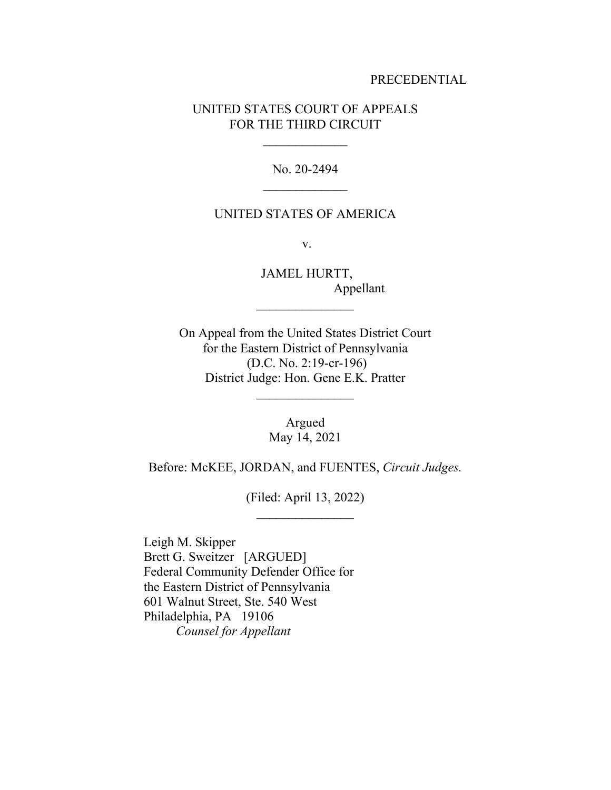#### PRECEDENTIAL

## UNITED STATES COURT OF APPEALS FOR THE THIRD CIRCUIT

No. 20-2494

#### UNITED STATES OF AMERICA

v.

JAMEL HURTT, Appellant

On Appeal from the United States District Court for the Eastern District of Pennsylvania (D.C. No. 2:19-cr-196) District Judge: Hon. Gene E.K. Pratter

 $\frac{1}{2}$ 

Argued May 14, 2021

Before: McKEE, JORDAN, and FUENTES, *Circuit Judges.*

(Filed: April 13, 2022)  $\frac{1}{2}$ 

Leigh M. Skipper Brett G. Sweitzer [ARGUED] Federal Community Defender Office for the Eastern District of Pennsylvania 601 Walnut Street, Ste. 540 West Philadelphia, PA 19106 *Counsel for Appellant*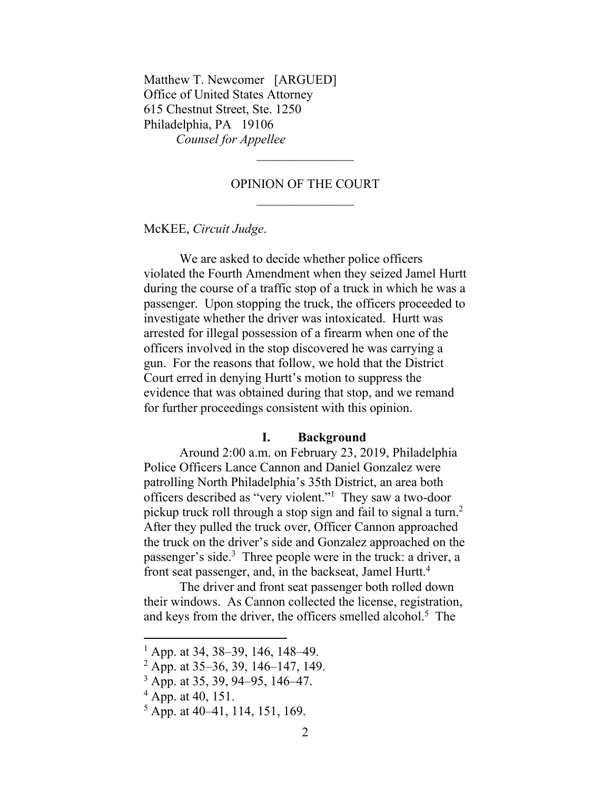Matthew T. Newcomer [ARGUED] Office of United States Attorney 615 Chestnut Street, Ste. 1250 Philadelphia, PA 19106 *Counsel for Appellee* 

### OPINION OF THE COURT

McKEE, *Circuit Judge*.

We are asked to decide whether police officers violated the Fourth Amendment when they seized Jamel Hurtt during the course of a traffic stop of a truck in which he was a passenger. Upon stopping the truck, the officers proceeded to investigate whether the driver was intoxicated. Hurtt was arrested for illegal possession of a firearm when one of the officers involved in the stop discovered he was carrying a gun. For the reasons that follow, we hold that the District Court erred in denying Hurtt's motion to suppress the evidence that was obtained during that stop, and we remand for further proceedings consistent with this opinion.

#### **I. Background**

Around 2:00 a.m. on February 23, 2019, Philadelphia Police Officers Lance Cannon and Daniel Gonzalez were patrolling North Philadelphia's 35th District, an area both officers described as "very violent."<sup>1</sup> They saw a two-door pickup truck roll through a stop sign and fail to signal a turn.<sup>2</sup> After they pulled the truck over, Officer Cannon approached the truck on the driver's side and Gonzalez approached on the passenger's side.<sup>3</sup> Three people were in the truck: a driver, a front seat passenger, and, in the backseat, Jamel Hurtt.<sup>4</sup>

The driver and front seat passenger both rolled down their windows. As Cannon collected the license, registration, and keys from the driver, the officers smelled alcohol.<sup>5</sup> The

<sup>&</sup>lt;sup>1</sup> App. at 34, 38–39, 146, 148–49.

 $2$  App. at 35–36, 39, 146–147, 149.

<sup>3</sup> App. at 35, 39, 94–95, 146–47.

 $^{4}$  App. at 40, 151.

 $<sup>5</sup>$  App. at 40–41, 114, 151, 169.</sup>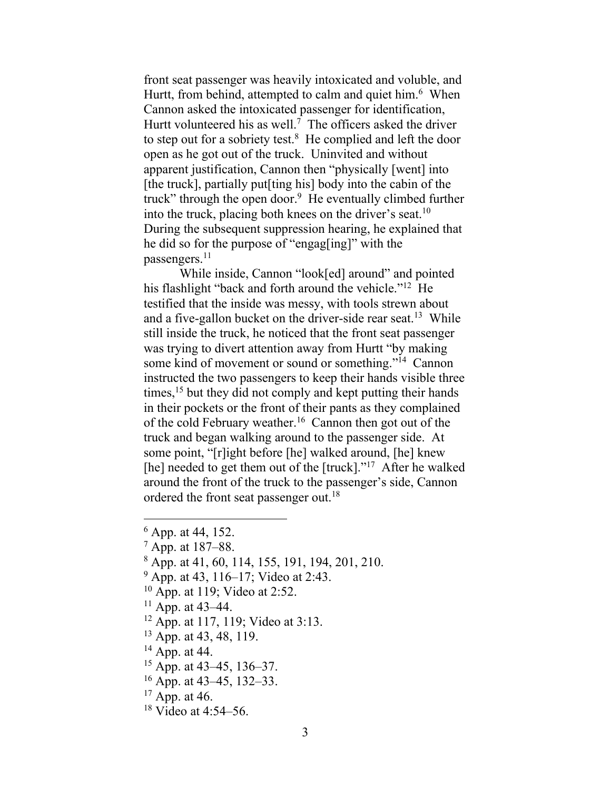front seat passenger was heavily intoxicated and voluble, and Hurtt, from behind, attempted to calm and quiet him.<sup>6</sup> When Cannon asked the intoxicated passenger for identification, Hurtt volunteered his as well.<sup>7</sup> The officers asked the driver to step out for a sobriety test. $8$  He complied and left the door open as he got out of the truck. Uninvited and without apparent justification, Cannon then "physically [went] into [the truck], partially put[ting his] body into the cabin of the truck" through the open door.<sup>9</sup> He eventually climbed further into the truck, placing both knees on the driver's seat.<sup>10</sup> During the subsequent suppression hearing, he explained that he did so for the purpose of "engag[ing]" with the passengers.<sup>11</sup>

While inside, Cannon "look[ed] around" and pointed his flashlight "back and forth around the vehicle."<sup>12</sup> He testified that the inside was messy, with tools strewn about and a five-gallon bucket on the driver-side rear seat.<sup>13</sup> While still inside the truck, he noticed that the front seat passenger was trying to divert attention away from Hurtt "by making some kind of movement or sound or something."<sup>14</sup> Cannon instructed the two passengers to keep their hands visible three times,<sup>15</sup> but they did not comply and kept putting their hands in their pockets or the front of their pants as they complained of the cold February weather.<sup>16</sup> Cannon then got out of the truck and began walking around to the passenger side. At some point, "[r]ight before [he] walked around, [he] knew [he] needed to get them out of the [truck]."<sup>17</sup> After he walked around the front of the truck to the passenger's side, Cannon ordered the front seat passenger out.<sup>18</sup>

- $^7$  App. at 187–88.
- $8$  App. at 41, 60, 114, 155, 191, 194, 201, 210.
- <sup>9</sup> App. at 43, 116–17; Video at 2:43.
- $10$  App. at 119; Video at 2:52.
- <sup>11</sup> App. at 43–44.
- <sup>12</sup> App. at 117, 119; Video at 3:13.
- <sup>13</sup> App. at 43, 48, 119.
- $14$  App. at 44.
- $15$  App. at 43–45, 136–37.
- $16$  App. at 43–45, 132–33.
- $17$  App. at 46.
- <sup>18</sup> Video at 4:54–56.

 $6$  App. at 44, 152.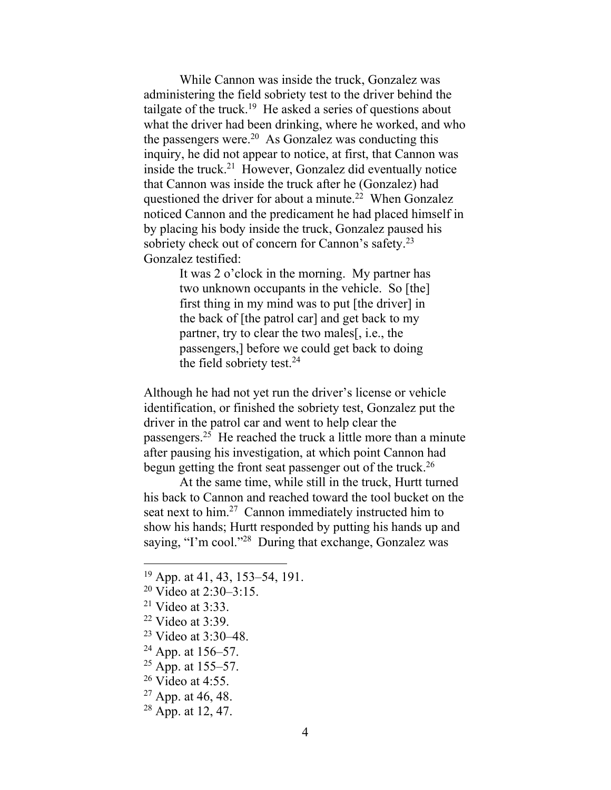While Cannon was inside the truck, Gonzalez was administering the field sobriety test to the driver behind the tailgate of the truck.<sup>19</sup> He asked a series of questions about what the driver had been drinking, where he worked, and who the passengers were.<sup>20</sup> As Gonzalez was conducting this inquiry, he did not appear to notice, at first, that Cannon was inside the truck.<sup>21</sup> However, Gonzalez did eventually notice that Cannon was inside the truck after he (Gonzalez) had questioned the driver for about a minute.<sup>22</sup> When Gonzalez noticed Cannon and the predicament he had placed himself in by placing his body inside the truck, Gonzalez paused his sobriety check out of concern for Cannon's safety.<sup>23</sup> Gonzalez testified:

> It was 2 o'clock in the morning. My partner has two unknown occupants in the vehicle. So [the] first thing in my mind was to put [the driver] in the back of [the patrol car] and get back to my partner, try to clear the two males[, i.e., the passengers,] before we could get back to doing the field sobriety test.<sup>24</sup>

Although he had not yet run the driver's license or vehicle identification, or finished the sobriety test, Gonzalez put the driver in the patrol car and went to help clear the passengers.<sup>25</sup> He reached the truck a little more than a minute after pausing his investigation, at which point Cannon had begun getting the front seat passenger out of the truck.<sup>26</sup>

At the same time, while still in the truck, Hurtt turned his back to Cannon and reached toward the tool bucket on the seat next to him.<sup>27</sup> Cannon immediately instructed him to show his hands; Hurtt responded by putting his hands up and saying, "I'm cool."<sup>28</sup> During that exchange, Gonzalez was

- $21$  Video at 3:33.
- $22$  Video at 3:39.
- <sup>23</sup> Video at 3:30–48.
- $24$  App. at 156–57.
- $25$  App. at 155–57.
- $26$  Video at 4:55.
- $27$  App. at 46, 48.
- $28$  App. at 12, 47.

<sup>19</sup> App. at 41, 43, 153–54, 191.

<sup>&</sup>lt;sup>20</sup> Video at 2:30–3:15.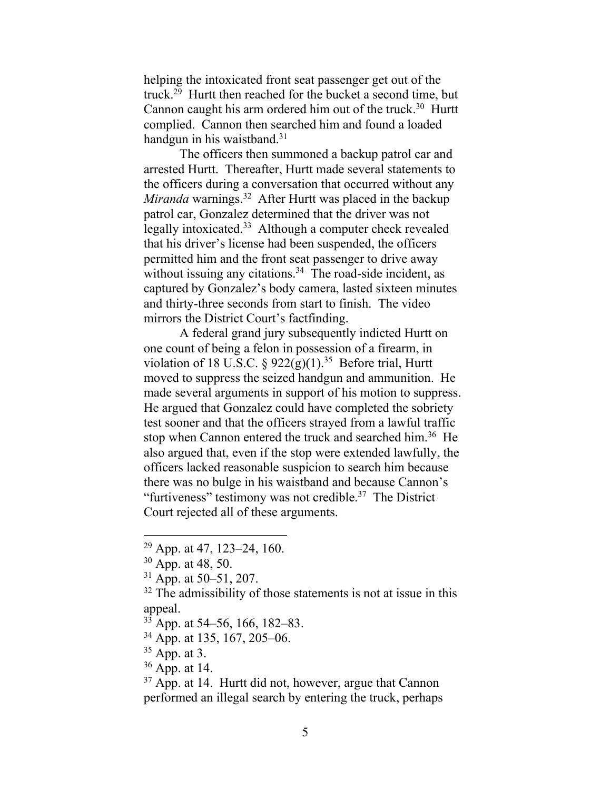helping the intoxicated front seat passenger get out of the truck.<sup>29</sup> Hurtt then reached for the bucket a second time, but Cannon caught his arm ordered him out of the truck.<sup>30</sup> Hurtt complied. Cannon then searched him and found a loaded handgun in his waistband.<sup>31</sup>

The officers then summoned a backup patrol car and arrested Hurtt. Thereafter, Hurtt made several statements to the officers during a conversation that occurred without any Miranda warnings.<sup>32</sup> After Hurtt was placed in the backup patrol car, Gonzalez determined that the driver was not legally intoxicated.<sup>33</sup> Although a computer check revealed that his driver's license had been suspended, the officers permitted him and the front seat passenger to drive away without issuing any citations.<sup>34</sup> The road-side incident, as captured by Gonzalez's body camera, lasted sixteen minutes and thirty-three seconds from start to finish. The video mirrors the District Court's factfinding.

A federal grand jury subsequently indicted Hurtt on one count of being a felon in possession of a firearm, in violation of 18 U.S.C.  $\S 922(g)(1).^{35}$  Before trial, Hurtt moved to suppress the seized handgun and ammunition. He made several arguments in support of his motion to suppress. He argued that Gonzalez could have completed the sobriety test sooner and that the officers strayed from a lawful traffic stop when Cannon entered the truck and searched him.<sup>36</sup> He also argued that, even if the stop were extended lawfully, the officers lacked reasonable suspicion to search him because there was no bulge in his waistband and because Cannon's "furtiveness" testimony was not credible. $37$  The District Court rejected all of these arguments.

 $29$  App. at 47, 123–24, 160.

<sup>30</sup> App. at 48, 50.

 $31$  App. at 50–51, 207.

 $32$  The admissibility of those statements is not at issue in this appeal.

 $33$  App. at 54–56, 166, 182–83.

<sup>34</sup> App. at 135, 167, 205–06.

 $35$  App. at 3.

 $36$  App. at 14.

 $37$  App. at 14. Hurtt did not, however, argue that Cannon performed an illegal search by entering the truck, perhaps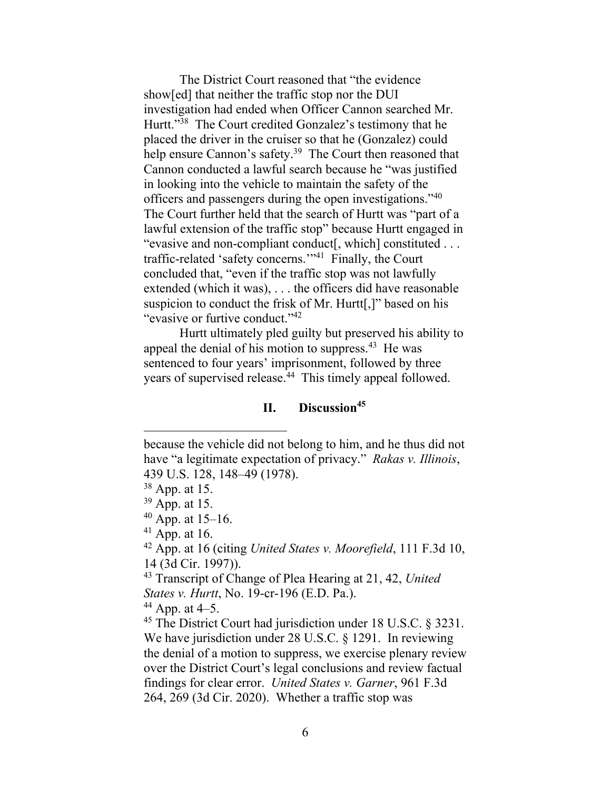The District Court reasoned that "the evidence show[ed] that neither the traffic stop nor the DUI investigation had ended when Officer Cannon searched Mr. Hurtt."<sup>38</sup> The Court credited Gonzalez's testimony that he placed the driver in the cruiser so that he (Gonzalez) could help ensure Cannon's safety.<sup>39</sup> The Court then reasoned that Cannon conducted a lawful search because he "was justified in looking into the vehicle to maintain the safety of the officers and passengers during the open investigations."<sup>40</sup> The Court further held that the search of Hurtt was "part of a lawful extension of the traffic stop" because Hurtt engaged in "evasive and non-compliant conduct[, which] constituted . . . traffic-related 'safety concerns.'"<sup>41</sup> Finally, the Court concluded that, "even if the traffic stop was not lawfully extended (which it was), . . . the officers did have reasonable suspicion to conduct the frisk of Mr. Hurtt[,]" based on his "evasive or furtive conduct."<sup>42</sup>

Hurtt ultimately pled guilty but preserved his ability to appeal the denial of his motion to suppress.<sup>43</sup> He was sentenced to four years' imprisonment, followed by three years of supervised release.<sup>44</sup> This timely appeal followed.

# **II. Discussion<sup>45</sup>**

because the vehicle did not belong to him, and he thus did not have "a legitimate expectation of privacy." *Rakas v. Illinois*, 439 U.S. 128, 148–49 (1978).

<sup>38</sup> App. at 15.

<sup>39</sup> App. at 15.

 $40$  App. at 15–16.

 $41$  App. at 16.

<sup>42</sup> App. at 16 (citing *United States v. Moorefield*, 111 F.3d 10, 14 (3d Cir. 1997)).

<sup>43</sup> Transcript of Change of Plea Hearing at 21, 42, *United States v. Hurtt*, No. 19-cr-196 (E.D. Pa.).

 $44$  App. at 4–5.

<sup>&</sup>lt;sup>45</sup> The District Court had jurisdiction under 18 U.S.C. § 3231. We have jurisdiction under 28 U.S.C. § 1291. In reviewing the denial of a motion to suppress, we exercise plenary review over the District Court's legal conclusions and review factual findings for clear error. *United States v. Garner*, 961 F.3d 264, 269 (3d Cir. 2020). Whether a traffic stop was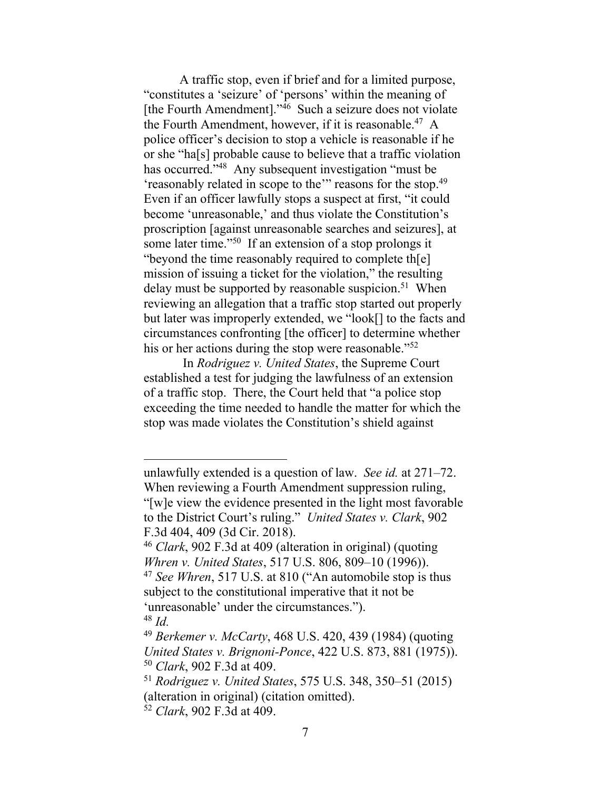A traffic stop, even if brief and for a limited purpose, "constitutes a 'seizure' of 'persons' within the meaning of [the Fourth Amendment]."<sup>46</sup> Such a seizure does not violate the Fourth Amendment, however, if it is reasonable.<sup>47</sup> A police officer's decision to stop a vehicle is reasonable if he or she "ha[s] probable cause to believe that a traffic violation has occurred."<sup>48</sup> Any subsequent investigation "must be 'reasonably related in scope to the'" reasons for the stop.<sup>49</sup> Even if an officer lawfully stops a suspect at first, "it could become 'unreasonable,' and thus violate the Constitution's proscription [against unreasonable searches and seizures], at some later time."<sup>50</sup> If an extension of a stop prolongs it "beyond the time reasonably required to complete th[e] mission of issuing a ticket for the violation," the resulting delay must be supported by reasonable suspicion.<sup>51</sup> When reviewing an allegation that a traffic stop started out properly but later was improperly extended, we "look[] to the facts and circumstances confronting [the officer] to determine whether his or her actions during the stop were reasonable."<sup>52</sup>

In *Rodriguez v. United States*, the Supreme Court established a test for judging the lawfulness of an extension of a traffic stop. There, the Court held that "a police stop exceeding the time needed to handle the matter for which the stop was made violates the Constitution's shield against

unlawfully extended is a question of law. *See id.* at 271–72. When reviewing a Fourth Amendment suppression ruling, "[w]e view the evidence presented in the light most favorable to the District Court's ruling." *United States v. Clark*, 902 F.3d 404, 409 (3d Cir. 2018).

<sup>46</sup> *Clark*, 902 F.3d at 409 (alteration in original) (quoting *Whren v. United States*, 517 U.S. 806, 809–10 (1996)). <sup>47</sup> *See Whren*, 517 U.S. at 810 ("An automobile stop is thus subject to the constitutional imperative that it not be 'unreasonable' under the circumstances."). <sup>48</sup> *Id.*

<sup>49</sup> *Berkemer v. McCarty*, 468 U.S. 420, 439 (1984) (quoting *United States v. Brignoni-Ponce*, 422 U.S. 873, 881 (1975)). <sup>50</sup> *Clark*, 902 F.3d at 409.

<sup>51</sup> *Rodriguez v. United States*, 575 U.S. 348, 350–51 (2015) (alteration in original) (citation omitted).

<sup>52</sup> *Clark*, 902 F.3d at 409.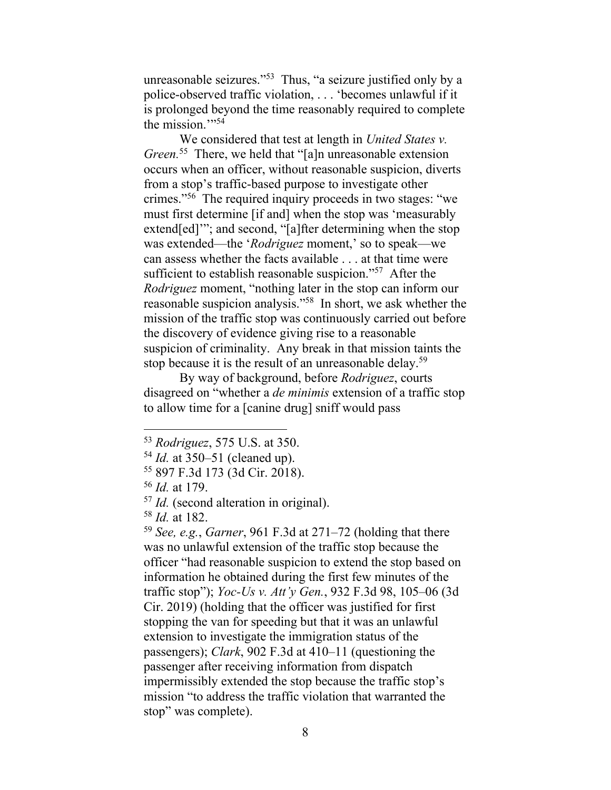unreasonable seizures." <sup>53</sup> Thus, "a seizure justified only by a police-observed traffic violation, . . . 'becomes unlawful if it is prolonged beyond the time reasonably required to complete the mission."<sup>54</sup>

We considered that test at length in *United States v. Green.* <sup>55</sup> There, we held that "[a]n unreasonable extension occurs when an officer, without reasonable suspicion, diverts from a stop's traffic-based purpose to investigate other crimes."<sup>56</sup> The required inquiry proceeds in two stages: "we must first determine [if and] when the stop was 'measurably extend[ed]'"; and second, "[a]fter determining when the stop was extended—the '*Rodriguez* moment,' so to speak—we can assess whether the facts available . . . at that time were sufficient to establish reasonable suspicion."<sup>57</sup> After the *Rodriguez* moment, "nothing later in the stop can inform our reasonable suspicion analysis."<sup>58</sup> In short, we ask whether the mission of the traffic stop was continuously carried out before the discovery of evidence giving rise to a reasonable suspicion of criminality. Any break in that mission taints the stop because it is the result of an unreasonable delay.<sup>59</sup>

By way of background, before *Rodriguez*, courts disagreed on "whether a *de minimis* extension of a traffic stop to allow time for a [canine drug] sniff would pass

<sup>59</sup> *See, e.g.*, *Garner*, 961 F.3d at 271–72 (holding that there was no unlawful extension of the traffic stop because the officer "had reasonable suspicion to extend the stop based on information he obtained during the first few minutes of the traffic stop"); *Yoc-Us v. Att'y Gen.*, 932 F.3d 98, 105–06 (3d Cir. 2019) (holding that the officer was justified for first stopping the van for speeding but that it was an unlawful extension to investigate the immigration status of the passengers); *Clark*, 902 F.3d at 410–11 (questioning the passenger after receiving information from dispatch impermissibly extended the stop because the traffic stop's mission "to address the traffic violation that warranted the stop" was complete).

<sup>53</sup> *Rodriguez*, 575 U.S. at 350.

<sup>54</sup> *Id.* at 350–51 (cleaned up).

<sup>55</sup> 897 F.3d 173 (3d Cir. 2018).

<sup>56</sup> *Id.* at 179.

<sup>57</sup> *Id.* (second alteration in original).

<sup>58</sup> *Id.* at 182.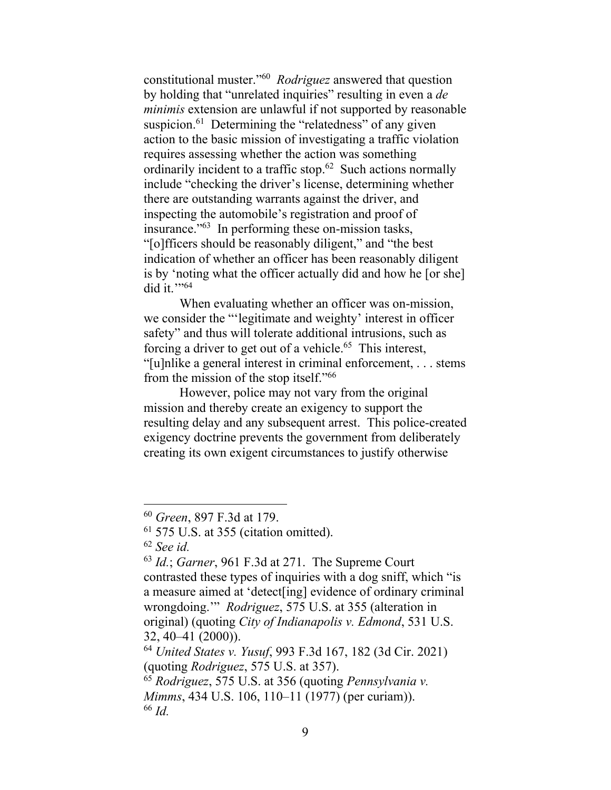constitutional muster."<sup>60</sup> *Rodriguez* answered that question by holding that "unrelated inquiries" resulting in even a *de minimis* extension are unlawful if not supported by reasonable suspicion.<sup>61</sup> Determining the "relatedness" of any given action to the basic mission of investigating a traffic violation requires assessing whether the action was something ordinarily incident to a traffic stop.<sup>62</sup> Such actions normally include "checking the driver's license, determining whether there are outstanding warrants against the driver, and inspecting the automobile's registration and proof of insurance."<sup>63</sup> In performing these on-mission tasks, "[o]fficers should be reasonably diligent," and "the best indication of whether an officer has been reasonably diligent is by 'noting what the officer actually did and how he [or she] did it.''<sup>64</sup>

When evaluating whether an officer was on-mission, we consider the "'legitimate and weighty' interest in officer safety" and thus will tolerate additional intrusions, such as forcing a driver to get out of a vehicle.<sup>65</sup> This interest, "[u]nlike a general interest in criminal enforcement, . . . stems from the mission of the stop itself."<sup>66</sup>

However, police may not vary from the original mission and thereby create an exigency to support the resulting delay and any subsequent arrest. This police-created exigency doctrine prevents the government from deliberately creating its own exigent circumstances to justify otherwise

<sup>60</sup> *Green*, 897 F.3d at 179.

 $61$  575 U.S. at 355 (citation omitted).

<sup>62</sup> *See id.*

<sup>63</sup> *Id.*; *Garner*, 961 F.3d at 271. The Supreme Court contrasted these types of inquiries with a dog sniff, which "is a measure aimed at 'detect[ing] evidence of ordinary criminal wrongdoing.'" *Rodriguez*, 575 U.S. at 355 (alteration in original) (quoting *City of Indianapolis v. Edmond*, 531 U.S. 32, 40–41 (2000)).

<sup>64</sup> *United States v. Yusuf*, 993 F.3d 167, 182 (3d Cir. 2021) (quoting *Rodriguez*, 575 U.S. at 357).

<sup>65</sup> *Rodriguez*, 575 U.S. at 356 (quoting *Pennsylvania v. Mimms*, 434 U.S. 106, 110–11 (1977) (per curiam)). <sup>66</sup> *Id.*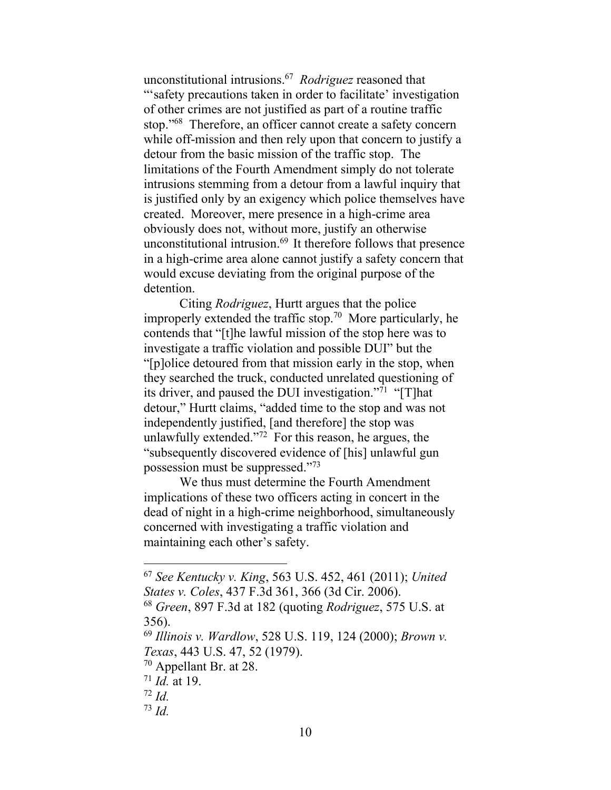unconstitutional intrusions.<sup>67</sup> *Rodriguez* reasoned that "'safety precautions taken in order to facilitate' investigation of other crimes are not justified as part of a routine traffic stop."<sup>68</sup> Therefore, an officer cannot create a safety concern while off-mission and then rely upon that concern to justify a detour from the basic mission of the traffic stop. The limitations of the Fourth Amendment simply do not tolerate intrusions stemming from a detour from a lawful inquiry that is justified only by an exigency which police themselves have created. Moreover, mere presence in a high-crime area obviously does not, without more, justify an otherwise unconstitutional intrusion. 69 It therefore follows that presence in a high-crime area alone cannot justify a safety concern that would excuse deviating from the original purpose of the detention.

Citing *Rodriguez*, Hurtt argues that the police improperly extended the traffic stop.<sup>70</sup> More particularly, he contends that "[t]he lawful mission of the stop here was to investigate a traffic violation and possible DUI" but the "[p]olice detoured from that mission early in the stop, when they searched the truck, conducted unrelated questioning of its driver, and paused the DUI investigation."<sup>71</sup> "[T]hat detour," Hurtt claims, "added time to the stop and was not independently justified, [and therefore] the stop was unlawfully extended."<sup>72</sup> For this reason, he argues, the "subsequently discovered evidence of [his] unlawful gun possession must be suppressed."<sup>73</sup>

We thus must determine the Fourth Amendment implications of these two officers acting in concert in the dead of night in a high-crime neighborhood, simultaneously concerned with investigating a traffic violation and maintaining each other's safety.

<sup>67</sup> *See Kentucky v. King*, 563 U.S. 452, 461 (2011); *United States v. Coles*, 437 F.3d 361, 366 (3d Cir. 2006).

<sup>68</sup> *Green*, 897 F.3d at 182 (quoting *Rodriguez*, 575 U.S. at 356).

<sup>69</sup> *Illinois v. Wardlow*, 528 U.S. 119, 124 (2000); *Brown v. Texas*, 443 U.S. 47, 52 (1979).

<sup>70</sup> Appellant Br. at 28.

<sup>71</sup> *Id.* at 19.

<sup>72</sup> *Id.*

 $^{73}$  *Id.*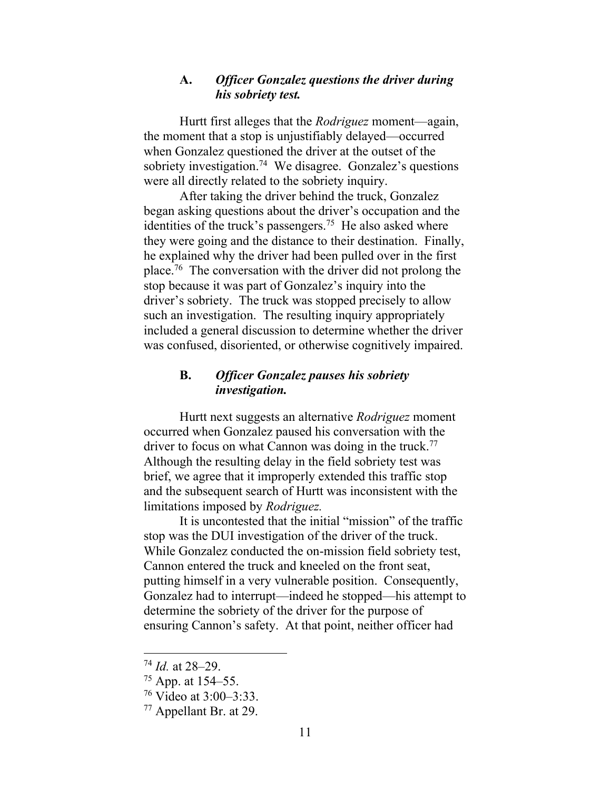## **A.** *Officer Gonzalez questions the driver during his sobriety test.*

Hurtt first alleges that the *Rodriguez* moment—again, the moment that a stop is unjustifiably delayed—occurred when Gonzalez questioned the driver at the outset of the sobriety investigation.<sup>74</sup> We disagree. Gonzalez's questions were all directly related to the sobriety inquiry.

After taking the driver behind the truck, Gonzalez began asking questions about the driver's occupation and the identities of the truck's passengers.<sup>75</sup> He also asked where they were going and the distance to their destination. Finally, he explained why the driver had been pulled over in the first place.<sup>76</sup> The conversation with the driver did not prolong the stop because it was part of Gonzalez's inquiry into the driver's sobriety. The truck was stopped precisely to allow such an investigation. The resulting inquiry appropriately included a general discussion to determine whether the driver was confused, disoriented, or otherwise cognitively impaired.

# **B.** *Officer Gonzalez pauses his sobriety investigation.*

Hurtt next suggests an alternative *Rodriguez* moment occurred when Gonzalez paused his conversation with the driver to focus on what Cannon was doing in the truck.<sup>77</sup> Although the resulting delay in the field sobriety test was brief, we agree that it improperly extended this traffic stop and the subsequent search of Hurtt was inconsistent with the limitations imposed by *Rodriguez.*

It is uncontested that the initial "mission" of the traffic stop was the DUI investigation of the driver of the truck. While Gonzalez conducted the on-mission field sobriety test, Cannon entered the truck and kneeled on the front seat, putting himself in a very vulnerable position. Consequently, Gonzalez had to interrupt—indeed he stopped—his attempt to determine the sobriety of the driver for the purpose of ensuring Cannon's safety. At that point, neither officer had

<sup>74</sup> *Id.* at 28–29.

<sup>75</sup> App. at 154–55.

<sup>76</sup> Video at 3:00–3:33.

<sup>77</sup> Appellant Br. at 29.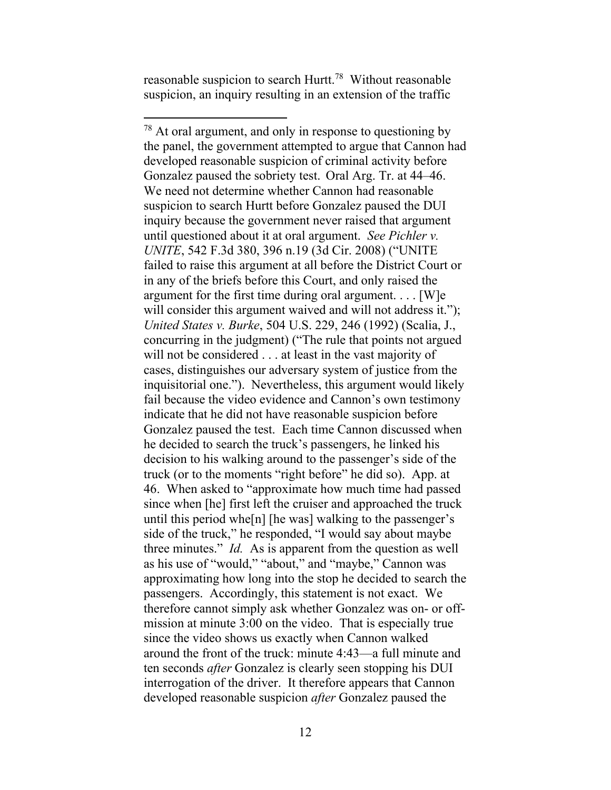reasonable suspicion to search Hurtt.<sup>78</sup> Without reasonable suspicion, an inquiry resulting in an extension of the traffic

<sup>&</sup>lt;sup>78</sup> At oral argument, and only in response to questioning by the panel, the government attempted to argue that Cannon had developed reasonable suspicion of criminal activity before Gonzalez paused the sobriety test. Oral Arg. Tr. at 44–46. We need not determine whether Cannon had reasonable suspicion to search Hurtt before Gonzalez paused the DUI inquiry because the government never raised that argument until questioned about it at oral argument. *See Pichler v. UNITE*, 542 F.3d 380, 396 n.19 (3d Cir. 2008) ("UNITE failed to raise this argument at all before the District Court or in any of the briefs before this Court, and only raised the argument for the first time during oral argument. . . . [W]e will consider this argument waived and will not address it."); *United States v. Burke*, 504 U.S. 229, 246 (1992) (Scalia, J., concurring in the judgment) ("The rule that points not argued will not be considered . . . at least in the vast majority of cases, distinguishes our adversary system of justice from the inquisitorial one."). Nevertheless, this argument would likely fail because the video evidence and Cannon's own testimony indicate that he did not have reasonable suspicion before Gonzalez paused the test. Each time Cannon discussed when he decided to search the truck's passengers, he linked his decision to his walking around to the passenger's side of the truck (or to the moments "right before" he did so). App. at 46. When asked to "approximate how much time had passed since when [he] first left the cruiser and approached the truck until this period whe[n] [he was] walking to the passenger's side of the truck," he responded, "I would say about maybe three minutes." *Id.* As is apparent from the question as well as his use of "would," "about," and "maybe," Cannon was approximating how long into the stop he decided to search the passengers. Accordingly, this statement is not exact. We therefore cannot simply ask whether Gonzalez was on- or offmission at minute 3:00 on the video. That is especially true since the video shows us exactly when Cannon walked around the front of the truck: minute 4:43—a full minute and ten seconds *after* Gonzalez is clearly seen stopping his DUI interrogation of the driver. It therefore appears that Cannon developed reasonable suspicion *after* Gonzalez paused the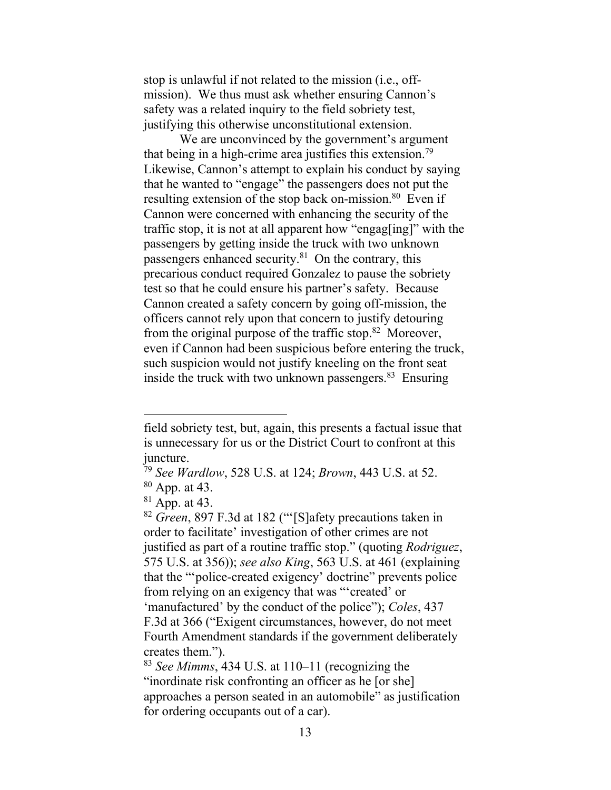stop is unlawful if not related to the mission (i.e., offmission). We thus must ask whether ensuring Cannon's safety was a related inquiry to the field sobriety test, justifying this otherwise unconstitutional extension.

We are unconvinced by the government's argument that being in a high-crime area justifies this extension.<sup>79</sup> Likewise, Cannon's attempt to explain his conduct by saying that he wanted to "engage" the passengers does not put the resulting extension of the stop back on-mission.<sup>80</sup> Even if Cannon were concerned with enhancing the security of the traffic stop, it is not at all apparent how "engag[ing]" with the passengers by getting inside the truck with two unknown passengers enhanced security.<sup>81</sup> On the contrary, this precarious conduct required Gonzalez to pause the sobriety test so that he could ensure his partner's safety. Because Cannon created a safety concern by going off-mission, the officers cannot rely upon that concern to justify detouring from the original purpose of the traffic stop.<sup>82</sup> Moreover, even if Cannon had been suspicious before entering the truck, such suspicion would not justify kneeling on the front seat inside the truck with two unknown passengers. $83$  Ensuring

field sobriety test, but, again, this presents a factual issue that is unnecessary for us or the District Court to confront at this juncture.

<sup>79</sup> *See Wardlow*, 528 U.S. at 124; *Brown*, 443 U.S. at 52. <sup>80</sup> App. at 43.

 $81$  App. at 43.

<sup>82</sup> *Green*, 897 F.3d at 182 ("'[S]afety precautions taken in order to facilitate' investigation of other crimes are not justified as part of a routine traffic stop." (quoting *Rodriguez*, 575 U.S. at 356)); *see also King*, 563 U.S. at 461 (explaining that the "'police-created exigency' doctrine" prevents police from relying on an exigency that was "'created' or 'manufactured' by the conduct of the police"); *Coles*, 437 F.3d at 366 ("Exigent circumstances, however, do not meet Fourth Amendment standards if the government deliberately creates them.").

<sup>83</sup> *See Mimms*, 434 U.S. at 110–11 (recognizing the "inordinate risk confronting an officer as he [or she] approaches a person seated in an automobile" as justification for ordering occupants out of a car).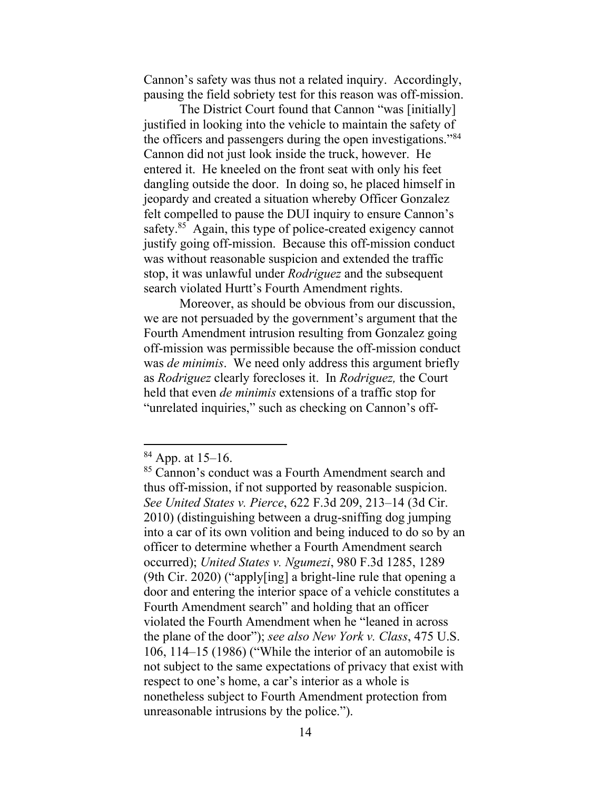Cannon's safety was thus not a related inquiry. Accordingly, pausing the field sobriety test for this reason was off-mission.

The District Court found that Cannon "was [initially] justified in looking into the vehicle to maintain the safety of the officers and passengers during the open investigations."<sup>84</sup> Cannon did not just look inside the truck, however. He entered it. He kneeled on the front seat with only his feet dangling outside the door. In doing so, he placed himself in jeopardy and created a situation whereby Officer Gonzalez felt compelled to pause the DUI inquiry to ensure Cannon's safety.<sup>85</sup> Again, this type of police-created exigency cannot justify going off-mission. Because this off-mission conduct was without reasonable suspicion and extended the traffic stop, it was unlawful under *Rodriguez* and the subsequent search violated Hurtt's Fourth Amendment rights.

Moreover, as should be obvious from our discussion, we are not persuaded by the government's argument that the Fourth Amendment intrusion resulting from Gonzalez going off-mission was permissible because the off-mission conduct was *de minimis*. We need only address this argument briefly as *Rodriguez* clearly forecloses it. In *Rodriguez,* the Court held that even *de minimis* extensions of a traffic stop for "unrelated inquiries," such as checking on Cannon's off-

 $84$  App. at 15–16.

<sup>85</sup> Cannon's conduct was a Fourth Amendment search and thus off-mission, if not supported by reasonable suspicion. *See United States v. Pierce*, 622 F.3d 209, 213–14 (3d Cir. 2010) (distinguishing between a drug-sniffing dog jumping into a car of its own volition and being induced to do so by an officer to determine whether a Fourth Amendment search occurred); *United States v. Ngumezi*, 980 F.3d 1285, 1289 (9th Cir. 2020) ("apply[ing] a bright-line rule that opening a door and entering the interior space of a vehicle constitutes a Fourth Amendment search" and holding that an officer violated the Fourth Amendment when he "leaned in across the plane of the door"); *see also New York v. Class*, 475 U.S. 106, 114–15 (1986) ("While the interior of an automobile is not subject to the same expectations of privacy that exist with respect to one's home, a car's interior as a whole is nonetheless subject to Fourth Amendment protection from unreasonable intrusions by the police.").